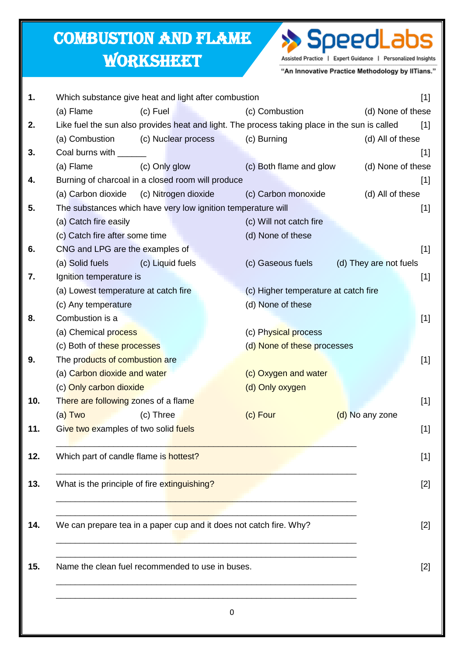## Combustion and Flame

## **WORKSHEET**



"An Innovative Practice Methodology by IITians."

| 1.  | Which substance give heat and light after combustion               |                      |                                                                                               | $[1]$                  |  |
|-----|--------------------------------------------------------------------|----------------------|-----------------------------------------------------------------------------------------------|------------------------|--|
|     | (a) Flame                                                          | (c) Fuel             | (c) Combustion                                                                                | (d) None of these      |  |
| 2.  |                                                                    |                      | Like fuel the sun also provides heat and light. The process taking place in the sun is called | $[1]$                  |  |
|     | (a) Combustion                                                     | (c) Nuclear process  | (c) Burning                                                                                   | (d) All of these       |  |
| 3.  | Coal burns with ____                                               |                      |                                                                                               | $[1]$                  |  |
|     | (a) Flame                                                          | (c) Only glow        | (c) Both flame and glow                                                                       | (d) None of these      |  |
| 4.  | Burning of charcoal in a closed room will produce                  |                      |                                                                                               | $[1]$                  |  |
|     | (a) Carbon dioxide                                                 | (c) Nitrogen dioxide | (c) Carbon monoxide                                                                           | (d) All of these       |  |
| 5.  |                                                                    |                      | The substances which have very low ignition temperature will                                  | $[1]$                  |  |
|     | (a) Catch fire easily                                              |                      | (c) Will not catch fire                                                                       |                        |  |
|     | (c) Catch fire after some time                                     |                      | (d) None of these                                                                             |                        |  |
| 6.  | CNG and LPG are the examples of                                    |                      |                                                                                               | $[1]$                  |  |
|     | (a) Solid fuels                                                    | (c) Liquid fuels     | (c) Gaseous fuels                                                                             | (d) They are not fuels |  |
| 7.  | Ignition temperature is                                            |                      |                                                                                               | $[1]$                  |  |
|     | (a) Lowest temperature at catch fire                               |                      | (c) Higher temperature at catch fire                                                          |                        |  |
|     | (c) Any temperature                                                |                      | (d) None of these                                                                             |                        |  |
| 8.  | Combustion is a                                                    |                      |                                                                                               | $[1]$                  |  |
|     | (a) Chemical process                                               |                      | (c) Physical process                                                                          |                        |  |
|     | (c) Both of these processes                                        |                      | (d) None of these processes                                                                   |                        |  |
| 9.  | The products of combustion are                                     |                      |                                                                                               | $[1]$                  |  |
|     | (a) Carbon dioxide and water                                       |                      | (c) Oxygen and water                                                                          |                        |  |
|     | (c) Only carbon dioxide                                            |                      | (d) Only oxygen                                                                               |                        |  |
| 10. | There are following zones of a flame                               |                      |                                                                                               | $[1]$                  |  |
|     | (a) Two                                                            | (c) Three            | (c) Four                                                                                      | (d) No any zone        |  |
| 11. | Give two examples of two solid fuels                               |                      |                                                                                               | $[1]$                  |  |
|     |                                                                    |                      |                                                                                               |                        |  |
| 12. | Which part of candle flame is hottest?                             |                      |                                                                                               | $[1]$                  |  |
|     |                                                                    |                      |                                                                                               |                        |  |
| 13. | What is the principle of fire extinguishing?                       |                      |                                                                                               | $[2]$                  |  |
|     |                                                                    |                      |                                                                                               |                        |  |
| 14. | We can prepare tea in a paper cup and it does not catch fire. Why? |                      |                                                                                               |                        |  |
|     |                                                                    | $[2]$                |                                                                                               |                        |  |
|     |                                                                    |                      |                                                                                               |                        |  |
| 15. | Name the clean fuel recommended to use in buses.                   | $[2]$                |                                                                                               |                        |  |
|     |                                                                    |                      |                                                                                               |                        |  |
|     |                                                                    |                      |                                                                                               |                        |  |
|     |                                                                    |                      |                                                                                               |                        |  |
|     |                                                                    |                      | 0                                                                                             |                        |  |